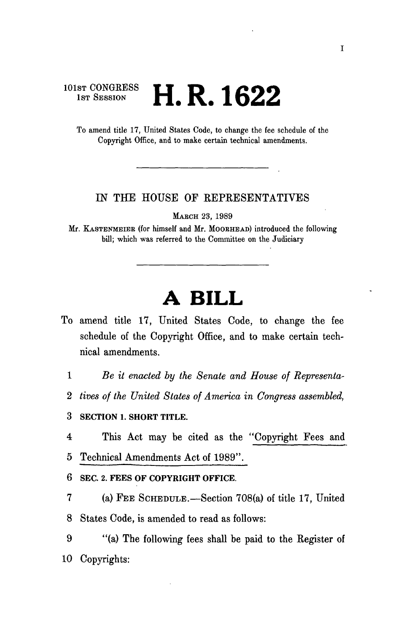## $\mathbb{S}^{\text{T CONGRESS}}$  **i**  $\mathbf{D}$  1*0*00 1st Session  $\blacksquare$ ,  $\blacksquare$ ,  $\blacksquare$ ,  $\blacksquare$

To amend title 17, United States Code, to change the fee schedule of the Copyright Office, and to make certain technical amendments.

## IN THE HOUSE OF REPRESENTATIVES

MABCH 23, 1989

Mr. KASTENMEIEB (for himself and Mr. MOOBHEAD) introduced the following bill; which was referred to the Committee on the Judiciary

## **A BILL**

- To amend title 17, United States Code, to change the fee schedule of the Copyright Office, and to make certain technical amendments.
	- 1 *Be it enacted by the Senate and House of Representa-*
	- 2 *tives of the United States of America in Congress assembled,*

3 **SECTION 1. SHORT TITLE.** 

4 This Act may be cited as the "Copyright Fees and 5 Technical Amendments Act of 1989".

**6 SEC. 2. FEES OF COPYRIGHT OFFICE.** 

7 (a) FEE SCHEDULE.—Section 708(a) of title 17, United 8 States Code, is amended to read as follows:

9 "(a) The following fees shall be paid to the Register of 10 Copyrights: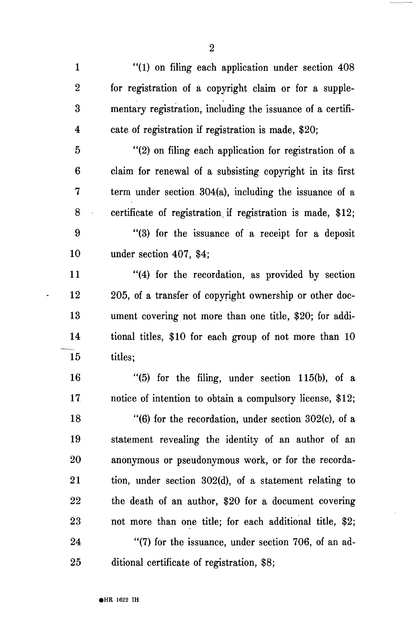÷,

 $\ddot{\phantom{0}}$ 

| $\mathbf{1}$            | "(1) on filing each application under section 408          |
|-------------------------|------------------------------------------------------------|
| $\boldsymbol{2}$        | for registration of a copyright claim or for a supple-     |
| $\overline{\mathbf{3}}$ | mentary registration, including the issuance of a certifi- |
| $\overline{\mathbf{4}}$ | cate of registration if registration is made, \$20;        |
| $\overline{5}$          | "(2) on filing each application for registration of a      |
| 6                       | claim for renewal of a subsisting copyright in its first   |
| 7                       | term under section 304(a), including the issuance of a     |
| 8                       | certificate of registration if registration is made, \$12; |
| 9                       | "(3) for the issuance of a receipt for a deposit           |
| 10                      | under section 407, \$4;                                    |
| 11                      | "(4) for the recordation, as provided by section           |
| 12                      | 205, of a transfer of copyright ownership or other doc-    |
| 13                      | ument covering not more than one title, \$20; for addi-    |
| 14                      | tional titles, \$10 for each group of not more than 10     |
| 15                      | titles;                                                    |
| 16                      | " $(5)$ for the filing, under section 115(b), of a         |
| 17                      | notice of intention to obtain a compulsory license, \$12;  |
| 18                      | "(6) for the recordation, under section $302(c)$ , of a    |
| 19                      | statement revealing the identity of an author of an        |
| 20                      | anonymous or pseudonymous work, or for the recorda-        |
| 21                      | tion, under section $302(d)$ , of a statement relating to  |
| 22                      | the death of an author, \$20 for a document covering       |
| 23                      | not more than one title; for each additional title, \$2;   |
| 24                      | $\lq(7)$ for the issuance, under section 706, of an ad-    |
| 25                      | ditional certificate of registration, \$8;                 |

 $\overline{\phantom{a}}$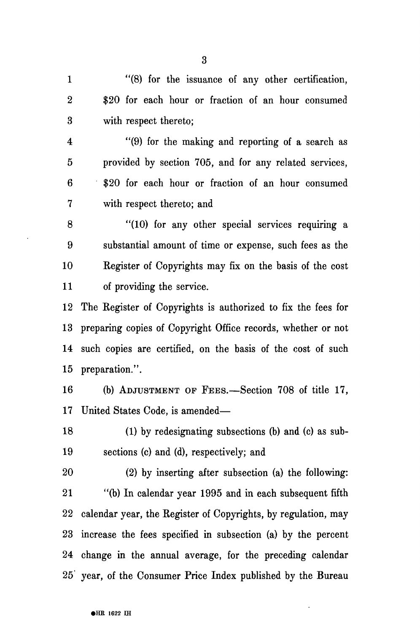3

1 "(8) for the issuance of any other certification, 2 \$20 for each hour or fraction of an hour consumed 3 with respect thereto;

4 "(9) for the making and reporting of a search as 5 provided by section 705, and for any related services, 6 \$20 for each hour or fraction of an hour consumed 7 with respect thereto; and

8 "(10) for any other special services requiring a 9 substantial amount of time or expense, such fees as the 10 Register of Copyrights may fix on the basis of the cost 11 of providing the service.

12 The Register of Copyrights is authorized to fix the fees for 13 preparing copies of Copyright Office records, whether or not 14 such copies are certified, on the basis of the cost of such 15 preparation.".

16 (b) ADJUSTMENT OF FEES.—Section 708 of title 17, 17 United States Code, is amended—

18 (1) by redesignating subsections (b) and (c) as sub-19 sections (c) and (d), respectively; and

20 (2) by inserting after subsection (a) the following: 21 "(b) In calendar year 1995 and in each subsequent fifth 22 calendar year, the Register of Copyrights, by regulation, may 23 increase the fees specified in subsection (a) by the percent 24 change in the annual average, for the preceding calendar 25 year, of the Consumer Price Index published by the Bureau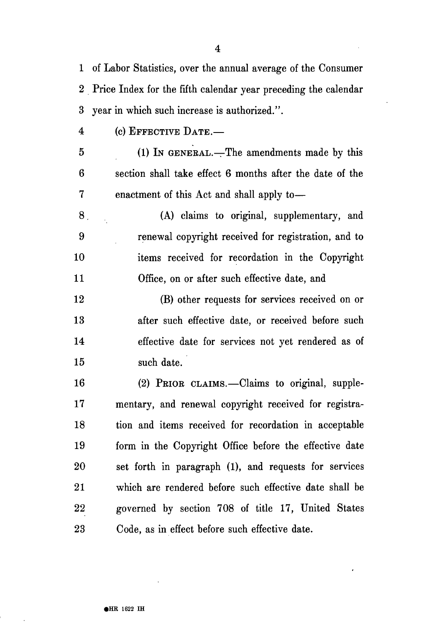1 of Labor Statistics, over the annual average of the Consumer 2 Price Index for the fifth calendar year preceding the calendar 3 year in which such increase is authorized.".

4 (c) EFFECTIVE DATE.—

5 (1) IN GENERAL.—The amendments made by this 6 section shall take effect 6 months after the date of the 7 enactment of this Act and shall apply to—

8. (A) claims to original, supplementary, and 9 renewal copyright received for registration, and to 10 items received for recordation in the Copyright 11 Office, on or after such effective date, and

12 (B) other requests for services received on or 13 after such effective date, or received before such 14 effective date for services not yet rendered as of 15 such date.

16 (2) PRIOR CLAIMS.—Claims to original, supple-17 mentary, and renewal copyright received for registra-18 tion and items received for recordation in acceptable 19 form in the Copyright Office before the effective date 20 set forth in paragraph (1), and requests for services 21 which are rendered before such effective date shall be 22 governed by section 708 of title 17, United States 23 Code, as in effect before such effective date.

4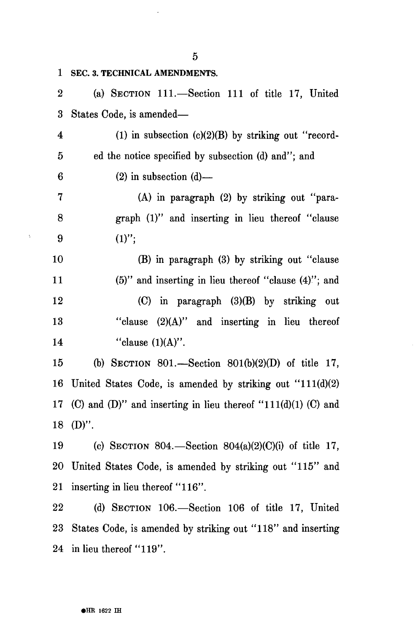**1 SEC. 3. TECHNICAL AMENDMENTS.**  2 (a) SECTION 111.—Section 111 of title 17, United 3 States Code, is amended— 4 (1) in subsection  $(c)(2)(B)$  by striking out "record-5 ed the notice specified by subsection (d) and"; and  $6$  (2) in subsection (d) — 7 (A) in paragraph (2) by striking out "para-8 graph (1)" and inserting in lieu thereof "clause 9  $(1)$ "; 10 (B) in paragraph (3) by striking out "clause 11 (5)" and inserting in lieu thereof "clause (4)"; and 12 (C) in paragraph (3)(B) by striking out 13 "clause (2)(A)" and inserting in lieu thereof 14 "clause  $(1)(A)$ ". 15 (b) SECTION 801.—Section 801(b)(2)(D) of title 17, 16 United States Code, is amended by striking out "111(d)(2) 17 (C) and (D)" and inserting in lieu thereof "111(d)(1) (C) and 18 (D)". 19 (c) SECTION 804.—Section 804(a)(2)(C)(i) of title 17, 20 United States Code, is amended by striking out "115" and 21 inserting in lieu thereof "116". 22 (d) SECTION 106.—Section 106 of title 17, United 23 States Code, is amended by striking out "118" and inserting

24 in lieu thereof "119".

j.

**• HE 1622 IH** 

5